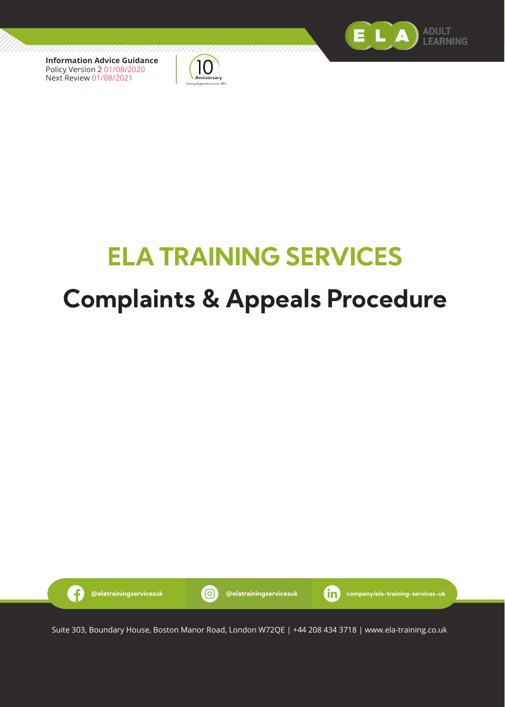

**Information Advice Guidance** Policy Version 2 01/08/2020 Next Review 01/08/2021



# **ELA TRAINING SERVICES Complaints & Appeals Procedure**



Suite 303, Boundary House, Boston Manor Road, London W72QE | +44 208 434 3718 | www.ela-training.co.uk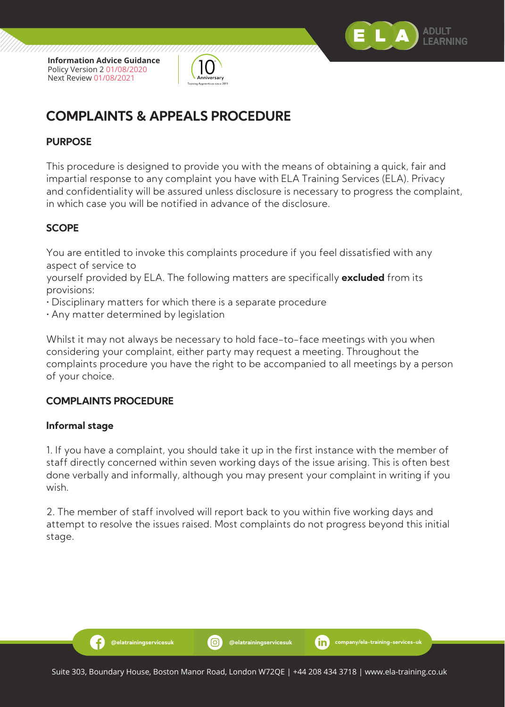

**Information Advice Guidance** Policy Version 2 01/08/2020 Next Review 01/08/2021



## **COMPLAINTS & APPEALS PROCEDURE**

#### **PURPOSE**

This procedure is designed to provide you with the means of obtaining a quick, fair and impartial response to any complaint you have with ELA Training Services (ELA). Privacy and confidentiality will be assured unless disclosure is necessary to progress the complaint, in which case you will be notified in advance of the disclosure.

#### **SCOPE**

You are entitled to invoke this complaints procedure if you feel dissatisfied with any aspect of service to

yourself provided by ELA. The following matters are specifically **excluded** from its provisions:

- Disciplinary matters for which there is a separate procedure
- Any matter determined by legislation

Whilst it may not always be necessary to hold face-to-face meetings with you when considering your complaint, either party may request a meeting. Throughout the complaints procedure you have the right to be accompanied to all meetings by a person of your choice.

#### **COMPLAINTS PROCEDURE**

Ð

#### **Informal stage**

1. If you have a complaint, you should take it up in the first instance with the member of staff directly concerned within seven working days of the issue arising. This is often best done verbally and informally, although you may present your complaint in writing if you wish.

2. The member of staff involved will report back to you within five working days and attempt to resolve the issues raised. Most complaints do not progress beyond this initial stage.

**@elatrainingservicesuk @elatrainingservicesuk company/ela-training-services-uk**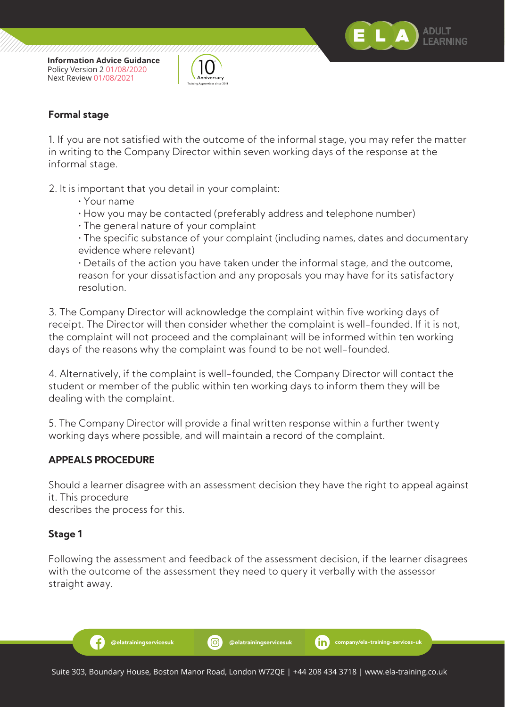



#### **Formal stage**

1. If you are not satisfied with the outcome of the informal stage, you may refer the matter in writing to the Company Director within seven working days of the response at the informal stage.

2. It is important that you detail in your complaint:

- Your name
- How you may be contacted (preferably address and telephone number)
- The general nature of your complaint

 • The specific substance of your complaint (including names, dates and documentary evidence where relevant)

 • Details of the action you have taken under the informal stage, and the outcome, reason for your dissatisfaction and any proposals you may have for its satisfactory resolution.

3. The Company Director will acknowledge the complaint within five working days of receipt. The Director will then consider whether the complaint is well-founded. If it is not, the complaint will not proceed and the complainant will be informed within ten working days of the reasons why the complaint was found to be not well-founded.

4. Alternatively, if the complaint is well-founded, the Company Director will contact the student or member of the public within ten working days to inform them they will be dealing with the complaint.

5. The Company Director will provide a final written response within a further twenty working days where possible, and will maintain a record of the complaint.

#### **APPEALS PROCEDURE**

Ð

Should a learner disagree with an assessment decision they have the right to appeal against it. This procedure

describes the process for this.

#### **Stage 1**

Following the assessment and feedback of the assessment decision, if the learner disagrees with the outcome of the assessment they need to query it verbally with the assessor straight away.

**@elatrainingservicesuk @elatrainingservicesuk company/ela-training-services-uk**